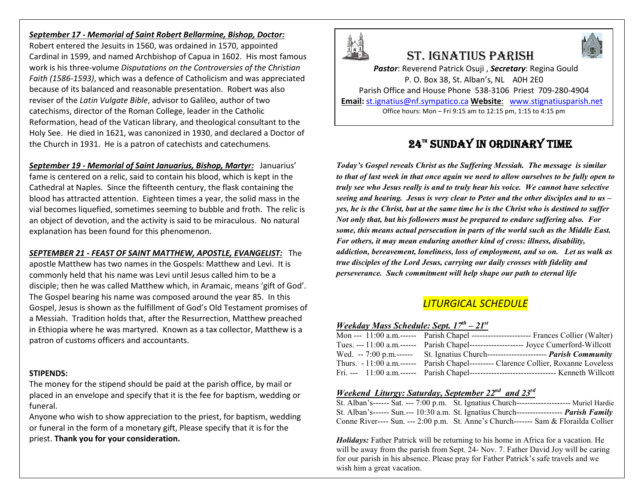### *September 17 - Memorial of Saint Robert Bellarmine, Bishop, Doctor:*

Robert entered the Jesuits in 1560, was ordained in 1570, appointed Cardinal in 1599, and named Archbishop of Capua in 1602. His most famous work is his three-volume *Disputations on the Controversies of the Christian Faith (1586-1593)*, which was a defence of Catholicism and was appreciated because of its balanced and reasonable presentation. Robert was also reviser of the *Latin Vulgate Bible*, advisor to Galileo, author of two catechisms, director of the Roman College, leader in the Catholic Reformation, head of the Vatican library, and theological consultant to the Holy See. He died in 1621, was canonized in 1930, and declared a Doctor of the Church in 1931. He is a patron of catechists and catechumens.

*September 19 - Memorial of Saint Januarius, Bishop, Martyr:* Januarius' fame is centered on a relic, said to contain his blood, which is kept in the Cathedral at Naples. Since the fifteenth century, the flask containing the blood has attracted attention. Eighteen times a year, the solid mass in the vial becomes liquefied, sometimes seeming to bubble and froth. The relic is an object of devotion, and the activity is said to be miraculous. No natural explanation has been found for this phenomenon.

*SEPTEMBER 21 - FEAST OF SAINT MATTHEW, APOSTLE, EVANGELIST:* The apostle Matthew has two names in the Gospels: Matthew and Levi. It is commonly held that his name was Levi until Jesus called him to be a disciple; then he was called Matthew which, in Aramaic, means 'gift of God'. The Gospel bearing his name was composed around the year 85. In this Gospel, Jesus is shown as the fulfillment of God's Old Testament promises of a Messiah. Tradition holds that, after the Resurrection, Matthew preached in Ethiopia where he was martyred. Known as a tax collector, Matthew is a patron of customs officers and accountants.

#### **STIPENDS:**

The money for the stipend should be paid at the parish office, by mail or placed in an envelope and specify that it is the fee for baptism, wedding or funeral.

Anyone who wish to show appreciation to the priest, for baptism, wedding or funeral in the form of a monetary gift, Please specify that it is for the priest. **Thank you for your consideration.**



# St. IgnatIuS parISh



*Pastor*: Reverend Patrick Osuji , *Secretary*: Regina Gould P. O. Box 38, St. Alban's, NL A0H 2E0 Parish Office and House Phone 538-3106 Priest 709-280-4904 **Email:** st.ignatius@nf.sympatico.ca **Website**: www.stignatiusparish.net Office hours: Mon – Fri 9:15 am to 12:15 pm, 1:15 to 4:15 pm

# 24™ SUNDAY IN ORDINARY TIME

*Today's Gospel reveals Christ as the Suffering Messiah. The message is similar to that of last week in that once again we need to allow ourselves to be fully open to truly see who Jesus really is and to truly hear his voice. We cannot have selective seeing and hearing. Jesus is very clear to Peter and the other disciples and to us – yes, he is the Christ, but at the same time he is the Christ who is destined to suffer Not only that, but his followers must be prepared to endure suffering also. For some, this means actual persecution in parts of the world such as the Middle East. For others, it may mean enduring another kind of cross: illness, disability, addiction, bereavement, loneliness, loss of employment, and so on. Let us walk as true disciples of the Lord Jesus, carrying our daily crosses with fidelity and perseverance. Such commitment will help shape our path to eternal life*

## *LITURGICAL SCHEDULE*

| Weekday Mass Schedule: Sept. $17^{th} - 21^{st}$ |  |  |  |
|--------------------------------------------------|--|--|--|
|--------------------------------------------------|--|--|--|

| Mon --- 11:00 a.m. ------ Parish Chapel ------------------------ Frances Collier (Walter)     |  |
|-----------------------------------------------------------------------------------------------|--|
| Tues. --- 11:00 a.m. ------ Parish Chapel -------------------- Joyce Cumerford-Willcott       |  |
| Wed. -- 7:00 p.m.------ St. Ignatius Church----------------------- <i>Parish Community</i>    |  |
| Thurs. - 11:00 a.m.------ Parish Chapel--------- Clarence Collier, Roxanne Loveless           |  |
| Fri. --- 11:00 a.m. ------ Parish Chapel ----------------------------------- Kenneth Willcott |  |

### *Weekend Liturgy: Saturday, September 22nd and 23rd*

| St. Alban's------ Sat. --- 7:00 p.m. St. Ignatius Church--------------------- Muriel Hardie     |  |
|-------------------------------------------------------------------------------------------------|--|
| St. Alban's------ Sun.--- 10:30 a.m. St. Ignatius Church------------------ <i>Parish Family</i> |  |
| Conne River---- Sun. --- 2:00 p.m. St. Anne's Church------- Sam & Florailda Collier             |  |

*Holidays:* Father Patrick will be returning to his home in Africa for a vacation. He will be away from the parish from Sept. 24- Nov. 7. Father David Joy will be caring for our parish in his absence. Please pray for Father Patrick's safe travels and we wish him a great vacation.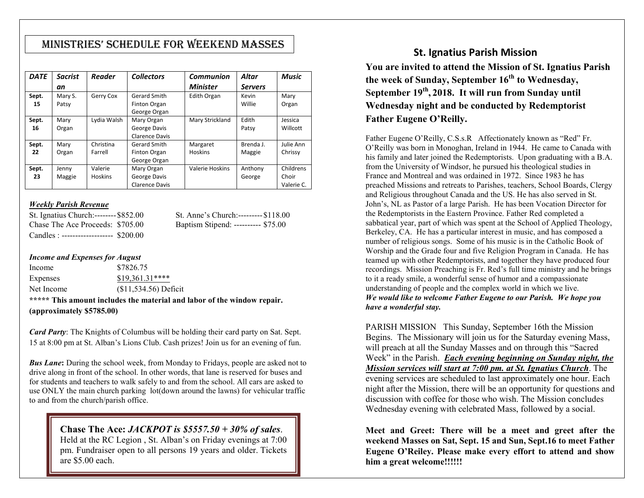# MInIStrIeS' Schedule for Weekend MaSSeS

| <b>DATE</b> | <b>Sacrist</b> | <b>Reader</b>  | <b>Collectors</b>     | Communion       | Altar          | <b>Music</b> |
|-------------|----------------|----------------|-----------------------|-----------------|----------------|--------------|
|             | an             |                |                       | <b>Minister</b> | <b>Servers</b> |              |
| Sept.       | Mary S.        | Gerry Cox      | Gerard Smith          | Edith Organ     | Kevin          | Mary         |
| 15          | Patsy          |                | Finton Organ          |                 | Willie         | Organ        |
|             |                |                | George Organ          |                 |                |              |
| Sept.       | Mary           | Lydia Walsh    | Mary Organ            | Mary Strickland | Edith          | Jessica      |
| 16          | Organ          |                | George Davis          |                 | Patsy          | Willcott     |
|             |                |                | <b>Clarence Davis</b> |                 |                |              |
| Sept.       | Mary           | Christina      | Gerard Smith          | Margaret        | Brenda J.      | Julie Ann    |
| 22          | Organ          | Farrell        | Finton Organ          | <b>Hoskins</b>  | Maggie         | Chrissy      |
|             |                |                | George Organ          |                 |                |              |
| Sept.       | Jenny          | Valerie        | Mary Organ            | Valerie Hoskins | Anthony        | Childrens    |
| 23          | Maggie         | <b>Hoskins</b> | George Davis          |                 | George         | Choir        |
|             |                |                | <b>Clarence Davis</b> |                 |                | Valerie C.   |

### *Weekly Parish Revenue*

| St. Ignatius Church:-------- \$852.00  |  |
|----------------------------------------|--|
| Chase The Ace Proceeds: \$705.00       |  |
| Candles : ------------------- \$200.00 |  |

St. Anne's Church:--------- \$118.00 Baptism Stipend: ---------- \$75.00

#### *Income and Expenses for August*

| Income          | \$7826.75                                                         |
|-----------------|-------------------------------------------------------------------|
| <b>Expenses</b> | $$19.361.31***$                                                   |
| Net Income      | $($11,534.56)$ Deficit                                            |
|                 | ***** This amount includes the motevial and lehou of the window w |

**\*\*\*\*\* This amount includes the material and labor of the window repair. (approximately \$5785.00)**

*Card Party*: The Knights of Columbus will be holding their card party on Sat. Sept. 15 at 8:00 pm at St. Alban's Lions Club. Cash prizes! Join us for an evening of fun.

*Bus Lane***:** During the school week, from Monday to Fridays, people are asked not to drive along in front of the school. In other words, that lane is reserved for buses and for students and teachers to walk safely to and from the school. All cars are asked to use ONLY the main church parking lot(down around the lawns) for vehicular traffic to and from the church/parish office.

### **Chase The Ace:** *JACKPOT is \$5557.50 + 30% of sales*.

Held at the RC Legion , St. Alban's on Friday evenings at 7:00 pm. Fundraiser open to all persons 19 years and older. Tickets are \$5.00 each.

### **St. Ignatius Parish Mission**

**You are invited to attend the Mission of St. Ignatius Parish the week of Sunday, September 16th to Wednesday, September 19th, 2018. It will run from Sunday until Wednesday night and be conducted by Redemptorist Father Eugene O'Reilly.** 

Father Eugene O'Reilly, C.S.s.R Affectionately known as "Red" Fr. O'Reilly was born in Monoghan, Ireland in 1944. He came to Canada with his family and later joined the Redemptorists. Upon graduating with a B.A. from the University of Windsor, he pursued his theological studies in France and Montreal and was ordained in 1972. Since 1983 he has preached Missions and retreats to Parishes, teachers, School Boards, Clergy and Religious throughout Canada and the US. He has also served in St. John's, NL as Pastor of a large Parish. He has been Vocation Director for the Redemptorists in the Eastern Province. Father Red completed a sabbatical year, part of which was spent at the School of Applied Theology, Berkeley, CA. He has a particular interest in music, and has composed a number of religious songs. Some of his music is in the Catholic Book of Worship and the Grade four and five Religion Program in Canada. He has teamed up with other Redemptorists, and together they have produced four recordings. Mission Preaching is Fr. Red's full time ministry and he brings to it a ready smile, a wonderful sense of humor and a compassionate understanding of people and the complex world in which we live. *We would like to welcome Father Eugene to our Parish. We hope you have a wonderful stay.*

PARISH MISSION This Sunday, September 16th the Mission Begins. The Missionary will join us for the Saturday evening Mass, will preach at all the Sunday Masses and on through this "Sacred Week" in the Parish. *Each evening beginning on Sunday night, the Mission services will start at 7:00 pm. at St. Ignatius Church*. The evening services are scheduled to last approximately one hour. Each night after the Mission, there will be an opportunity for questions and discussion with coffee for those who wish. The Mission concludes Wednesday evening with celebrated Mass, followed by a social.

**Meet and Greet: There will be a meet and greet after the weekend Masses on Sat, Sept. 15 and Sun, Sept.16 to meet Father Eugene O'Reiley. Please make every effort to attend and show him a great welcome!!!!!!**